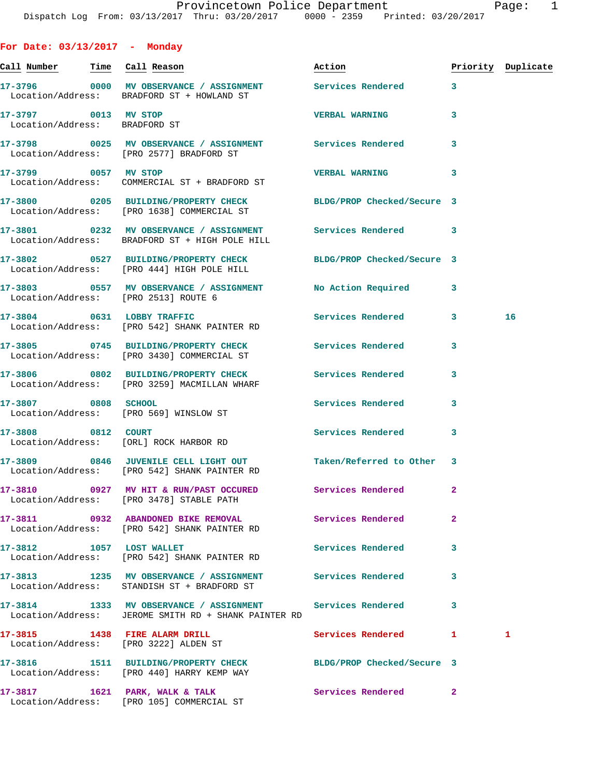**For Date: 03/13/2017 - Monday Call Number Time Call Reason Action Priority Duplicate 17-3796 0000 MV OBSERVANCE / ASSIGNMENT Services Rendered 3**  Location/Address: BRADFORD ST + HOWLAND ST **17-3797 0013 MV STOP VERBAL WARNING 3**  Location/Address: BRADFORD ST **17-3798 0025 MV OBSERVANCE / ASSIGNMENT Services Rendered 3**  Location/Address: [PRO 2577] BRADFORD ST **17-3799 0057 MV STOP VERBAL WARNING 3**  Location/Address: COMMERCIAL ST + BRADFORD ST **17-3800 0205 BUILDING/PROPERTY CHECK BLDG/PROP Checked/Secure 3**  Location/Address: [PRO 1638] COMMERCIAL ST **17-3801 0232 MV OBSERVANCE / ASSIGNMENT Services Rendered 3**  Location/Address: BRADFORD ST + HIGH POLE HILL **17-3802 0527 BUILDING/PROPERTY CHECK BLDG/PROP Checked/Secure 3**  Location/Address: [PRO 444] HIGH POLE HILL **17-3803 0557 MV OBSERVANCE / ASSIGNMENT No Action Required 3**  Location/Address: [PRO 2513] ROUTE 6 **17-3804 0631 LOBBY TRAFFIC Services Rendered 3 16**  Location/Address: [PRO 542] SHANK PAINTER RD **17-3805 0745 BUILDING/PROPERTY CHECK Services Rendered 3**  Location/Address: [PRO 3430] COMMERCIAL ST **17-3806 0802 BUILDING/PROPERTY CHECK Services Rendered 3**  Location/Address: [PRO 3259] MACMILLAN WHARF **17-3807 0808 SCHOOL Services Rendered 3**  Location/Address: [PRO 569] WINSLOW ST **17-3808 0812 COURT Services Rendered 3**  Location/Address: [ORL] ROCK HARBOR RD **17-3809 0846 JUVENILE CELL LIGHT OUT Taken/Referred to Other 3**  Location/Address: [PRO 542] SHANK PAINTER RD **17-3810 0927 MV HIT & RUN/PAST OCCURED Services Rendered 2**  Location/Address: [PRO 3478] STABLE PATH **17-3811 0932 ABANDONED BIKE REMOVAL Services Rendered 2**  Location/Address: [PRO 542] SHANK PAINTER RD **17-3812 1057 LOST WALLET Services Rendered 3**  Location/Address: [PRO 542] SHANK PAINTER RD **17-3813 1235 MV OBSERVANCE / ASSIGNMENT Services Rendered 3**  Location/Address: STANDISH ST + BRADFORD ST **17-3814 1333 MV OBSERVANCE / ASSIGNMENT Services Rendered 3**  Location/Address: JEROME SMITH RD + SHANK PAINTER RD **17-3815 1438 FIRE ALARM DRILL Services Rendered 1 1**  Location/Address: [PRO 3222] ALDEN ST

**17-3816 1511 BUILDING/PROPERTY CHECK BLDG/PROP Checked/Secure 3**  Location/Address: [PRO 440] HARRY KEMP WAY **17-3817 1621 PARK, WALK & TALK Services Rendered 2**  Location/Address: [PRO 105] COMMERCIAL ST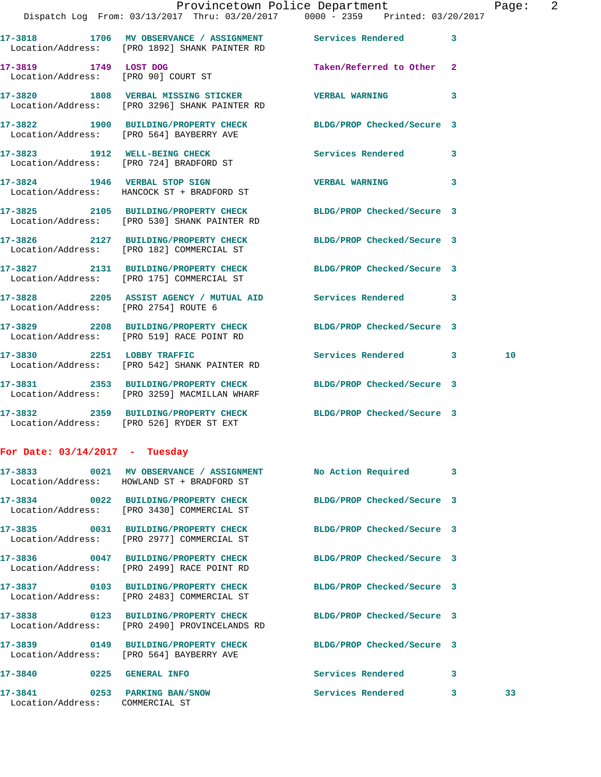|                                                                  | Dispatch Log From: 03/13/2017 Thru: 03/20/2017 0000 - 2359 Printed: 03/20/2017                                  | Provincetown Police Department |   | Page: 2 |  |
|------------------------------------------------------------------|-----------------------------------------------------------------------------------------------------------------|--------------------------------|---|---------|--|
|                                                                  | 17-3818 1706 MV OBSERVANCE / ASSIGNMENT Services Rendered 3<br>Location/Address: [PRO 1892] SHANK PAINTER RD    |                                |   |         |  |
| 17-3819 1749 LOST DOG                                            | Location/Address: [PRO 90] COURT ST                                                                             | Taken/Referred to Other 2      |   |         |  |
|                                                                  | 17-3820 1808 VERBAL MISSING STICKER VERBAL WARNING<br>Location/Address: [PRO 3296] SHANK PAINTER RD             |                                | 3 |         |  |
|                                                                  | 17-3822 1900 BUILDING/PROPERTY CHECK BLDG/PROP Checked/Secure 3<br>Location/Address: [PRO 564] BAYBERRY AVE     |                                |   |         |  |
|                                                                  | 17-3823 1912 WELL-BEING CHECK<br>Location/Address: [PRO 724] BRADFORD ST                                        | Services Rendered 3            |   |         |  |
|                                                                  | 17-3824 1946 VERBAL STOP SIGN<br>Location/Address: HANCOCK ST + BRADFORD ST                                     | <b>VERBAL WARNING</b>          | 3 |         |  |
|                                                                  | 17-3825 2105 BUILDING/PROPERTY CHECK BLDG/PROP Checked/Secure 3<br>Location/Address: [PRO 530] SHANK PAINTER RD |                                |   |         |  |
|                                                                  | 17-3826 2127 BUILDING/PROPERTY CHECK BLDG/PROP Checked/Secure 3<br>Location/Address: [PRO 182] COMMERCIAL ST    |                                |   |         |  |
|                                                                  | 17-3827 2131 BUILDING/PROPERTY CHECK BLDG/PROP Checked/Secure 3<br>Location/Address: [PRO 175] COMMERCIAL ST    |                                |   |         |  |
| Location/Address: [PRO 2754] ROUTE 6                             | 17-3828 2205 ASSIST AGENCY / MUTUAL AID Services Rendered 3                                                     |                                |   |         |  |
|                                                                  | 17-3829 2208 BUILDING/PROPERTY CHECK BLDG/PROP Checked/Secure 3<br>Location/Address: [PRO 519] RACE POINT RD    |                                |   |         |  |
|                                                                  | 17-3830 2251 LOBBY TRAFFIC<br>Location/Address: [PRO 542] SHANK PAINTER RD                                      | Services Rendered 3            |   | 10      |  |
|                                                                  | 17-3831 2353 BUILDING/PROPERTY CHECK BLDG/PROP Checked/Secure 3<br>Location/Address: [PRO 3259] MACMILLAN WHARF |                                |   |         |  |
|                                                                  | 17-3832 2359 BUILDING/PROPERTY CHECK BLDG/PROP Checked/Secure 3<br>Location/Address: [PRO 526] RYDER ST EXT     |                                |   |         |  |
| For Date: $03/14/2017$ - Tuesday                                 |                                                                                                                 |                                |   |         |  |
|                                                                  | 17-3833 0021 MV OBSERVANCE / ASSIGNMENT<br>Location/Address: HOWLAND ST + BRADFORD ST                           | No Action Required 3           |   |         |  |
|                                                                  | 17-3834 0022 BUILDING/PROPERTY CHECK<br>Location/Address: [PRO 3430] COMMERCIAL ST                              | BLDG/PROP Checked/Secure 3     |   |         |  |
|                                                                  | 17-3835 0031 BUILDING/PROPERTY CHECK BLDG/PROP Checked/Secure 3<br>Location/Address: [PRO 2977] COMMERCIAL ST   |                                |   |         |  |
|                                                                  | 17-3836 0047 BUILDING/PROPERTY CHECK<br>Location/Address: [PRO 2499] RACE POINT RD                              | BLDG/PROP Checked/Secure 3     |   |         |  |
|                                                                  | 17-3837 0103 BUILDING/PROPERTY CHECK BLDG/PROP Checked/Secure 3<br>Location/Address: [PRO 2483] COMMERCIAL ST   |                                |   |         |  |
|                                                                  | 17-3838 0123 BUILDING/PROPERTY CHECK<br>Location/Address: [PRO 2490] PROVINCELANDS RD                           | BLDG/PROP Checked/Secure 3     |   |         |  |
|                                                                  | 17-3839 0149 BUILDING/PROPERTY CHECK<br>Location/Address: [PRO 564] BAYBERRY AVE                                | BLDG/PROP Checked/Secure 3     |   |         |  |
| 17-3840 0225 GENERAL INFO                                        |                                                                                                                 | Services Rendered 3            |   |         |  |
| 17-3841 0253 PARKING BAN/SNOW<br>Location/Address: COMMERCIAL ST |                                                                                                                 | Services Rendered              | 3 | 33      |  |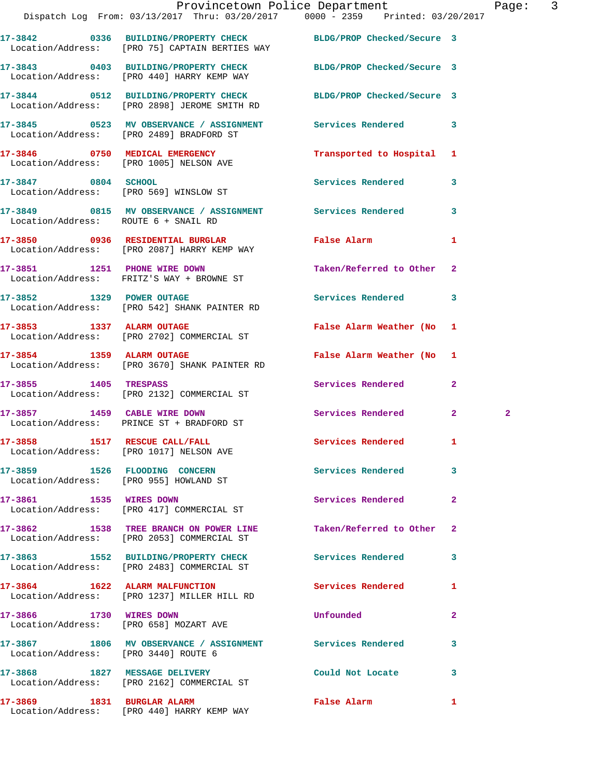|                                      | Provincetown Police Department<br>Dispatch Log From: 03/13/2017 Thru: 03/20/2017 0000 - 2359 Printed: 03/20/2017  |                           |                | Page: 3      |  |
|--------------------------------------|-------------------------------------------------------------------------------------------------------------------|---------------------------|----------------|--------------|--|
|                                      | 17-3842 0336 BUILDING/PROPERTY CHECK BLDG/PROP Checked/Secure 3<br>Location/Address: [PRO 75] CAPTAIN BERTIES WAY |                           |                |              |  |
|                                      | 17-3843 0403 BUILDING/PROPERTY CHECK BLDG/PROP Checked/Secure 3<br>Location/Address: [PRO 440] HARRY KEMP WAY     |                           |                |              |  |
|                                      | 17-3844 0512 BUILDING/PROPERTY CHECK BLDG/PROP Checked/Secure 3<br>Location/Address: [PRO 2898] JEROME SMITH RD   |                           |                |              |  |
|                                      | 17-3845 		 0523 MV OBSERVANCE / ASSIGNMENT Services Rendered 3<br>Location/Address: [PRO 2489] BRADFORD ST        |                           |                |              |  |
|                                      | 17-3846 0750 MEDICAL EMERGENCY<br>Location/Address: [PRO 1005] NELSON AVE                                         | Transported to Hospital 1 |                |              |  |
| 17-3847 0804 SCHOOL                  | Location/Address: [PRO 569] WINSLOW ST                                                                            | Services Rendered 3       |                |              |  |
| Location/Address: ROUTE 6 + SNAIL RD | 17-3849 0815 MV OBSERVANCE / ASSIGNMENT Services Rendered                                                         |                           | 3              |              |  |
|                                      | Location/Address: [PRO 2087] HARRY KEMP WAY                                                                       |                           | $\mathbf{1}$   |              |  |
|                                      | 17-3851 1251 PHONE WIRE DOWN<br>Location/Address: FRITZ'S WAY + BROWNE ST                                         | Taken/Referred to Other 2 |                |              |  |
| 17-3852 1329 POWER OUTAGE            | Location/Address: [PRO 542] SHANK PAINTER RD                                                                      | Services Rendered         | 3              |              |  |
|                                      | 17-3853 1337 ALARM OUTAGE<br>Location/Address: [PRO 2702] COMMERCIAL ST                                           | False Alarm Weather (No 1 |                |              |  |
|                                      | 17-3854 1359 ALARM OUTAGE<br>Location/Address: [PRO 3670] SHANK PAINTER RD                                        | False Alarm Weather (No 1 |                |              |  |
|                                      | 17-3855 1405 TRESPASS<br>Location/Address: [PRO 2132] COMMERCIAL ST                                               | Services Rendered         | $\overline{2}$ |              |  |
|                                      | 17-3857 1459 CABLE WIRE DOWN<br>Location/Address: PRINCE ST + BRADFORD ST                                         | Services Rendered         | 2 <sup>1</sup> | $\mathbf{2}$ |  |
|                                      | 17-3858 1517 RESCUE CALL/FALL<br>Location/Address: [PRO 1017] NELSON AVE                                          | Services Rendered         | $\mathbf{1}$   |              |  |
|                                      | 17-3859 1526 FLOODING CONCERN<br>Location/Address: [PRO 955] HOWLAND ST                                           | <b>Services Rendered</b>  | 3              |              |  |
| 17-3861 1535 WIRES DOWN              | Location/Address: [PRO 417] COMMERCIAL ST                                                                         | Services Rendered         | $\mathbf{2}$   |              |  |
|                                      | 17-3862 1538 TREE BRANCH ON POWER LINE<br>Location/Address: [PRO 2053] COMMERCIAL ST                              | Taken/Referred to Other   | 2              |              |  |
|                                      | 17-3863 1552 BUILDING/PROPERTY CHECK<br>Location/Address: [PRO 2483] COMMERCIAL ST                                | <b>Services Rendered</b>  | 3              |              |  |
|                                      | 17-3864 1622 ALARM MALFUNCTION<br>Location/Address: [PRO 1237] MILLER HILL RD                                     | Services Rendered         | 1              |              |  |
|                                      | 17-3866 1730 WIRES DOWN<br>Location/Address: [PRO 658] MOZART AVE                                                 | Unfounded                 | $\mathbf{2}$   |              |  |
| Location/Address: [PRO 3440] ROUTE 6 | 17-3867 1806 MV OBSERVANCE / ASSIGNMENT Services Rendered                                                         |                           | 3              |              |  |
|                                      | 17-3868 1827 MESSAGE DELIVERY<br>Location/Address: [PRO 2162] COMMERCIAL ST                                       | Could Not Locate          | 3              |              |  |
|                                      |                                                                                                                   |                           |                |              |  |

**17-3869 1831 BURGLAR ALARM False Alarm 1**  Location/Address: [PRO 440] HARRY KEMP WAY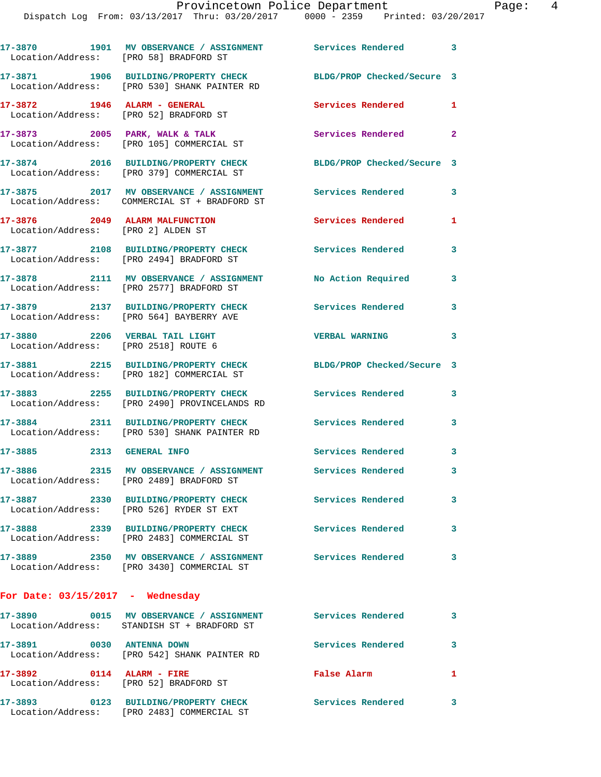Dispatch Log From: 03/13/2017 Thru: 03/20/2017 0000 - 2359 Printed: 03/20/2017

| Location/Address: [PRO 58] BRADFORD ST                                   | 17-3870 1901 MV OBSERVANCE / ASSIGNMENT Services Rendered 3                                           |                            |                |
|--------------------------------------------------------------------------|-------------------------------------------------------------------------------------------------------|----------------------------|----------------|
|                                                                          | 17-3871 1906 BUILDING/PROPERTY CHECK<br>Location/Address: [PRO 530] SHANK PAINTER RD                  | BLDG/PROP Checked/Secure 3 |                |
| $17-3872$ 1946 ALARM - GENERAL<br>Location/Address: [PRO 52] BRADFORD ST |                                                                                                       | Services Rendered          | 1              |
|                                                                          | $17-3873$ 2005 PARK, WALK & TALK<br>Location/Address: [PRO 105] COMMERCIAL ST                         | Services Rendered          | $\mathbf{2}$   |
|                                                                          | 17-3874 2016 BUILDING/PROPERTY CHECK<br>Location/Address: [PRO 379] COMMERCIAL ST                     | BLDG/PROP Checked/Secure 3 |                |
|                                                                          | 17-3875 2017 MV OBSERVANCE / ASSIGNMENT<br>Location/Address: COMMERCIAL ST + BRADFORD ST              | Services Rendered          | 3              |
| 17-3876 2049 ALARM MALFUNCTION<br>Location/Address: [PRO 2] ALDEN ST     |                                                                                                       | Services Rendered          | 1              |
|                                                                          | 17-3877 2108 BUILDING/PROPERTY CHECK<br>Location/Address: [PRO 2494] BRADFORD ST                      | Services Rendered          | 3              |
|                                                                          | 17-3878 2111 MV OBSERVANCE / ASSIGNMENT<br>Location/Address: [PRO 2577] BRADFORD ST                   | No Action Required         | 3              |
|                                                                          | 17-3879 2137 BUILDING/PROPERTY CHECK<br>Location/Address: [PRO 564] BAYBERRY AVE                      | <b>Services Rendered</b>   | 3              |
| 17-3880 2206 VERBAL TAIL LIGHT<br>Location/Address: [PRO 2518] ROUTE 6   |                                                                                                       | <b>VERBAL WARNING</b>      | 3              |
|                                                                          | 17-3881 2215 BUILDING/PROPERTY CHECK<br>Location/Address: [PRO 182] COMMERCIAL ST                     | BLDG/PROP Checked/Secure 3 |                |
|                                                                          | 17-3883 2255 BUILDING/PROPERTY CHECK<br>Location/Address: [PRO 2490] PROVINCELANDS RD                 | Services Rendered          | 3              |
|                                                                          | 17-3884 2311 BUILDING/PROPERTY CHECK<br>Location/Address: [PRO 530] SHANK PAINTER RD                  | <b>Services Rendered</b>   | 3              |
| 17-3885 2313 GENERAL INFO                                                |                                                                                                       | <b>Services Rendered</b>   | 3              |
|                                                                          | 17-3886 2315 MV OBSERVANCE / ASSIGNMENT Services Rendered<br>Location/Address: [PRO 2489] BRADFORD ST |                            | 3 <sup>7</sup> |
|                                                                          | 17-3887 2330 BUILDING/PROPERTY CHECK<br>Location/Address: [PRO 526] RYDER ST EXT                      | Services Rendered          | 3              |
|                                                                          | 17-3888 2339 BUILDING/PROPERTY CHECK<br>Location/Address: [PRO 2483] COMMERCIAL ST                    | Services Rendered          | 3              |
|                                                                          | Location/Address: [PRO 3430] COMMERCIAL ST                                                            |                            | 3              |
| For Date: $03/15/2017$ - Wednesday                                       |                                                                                                       |                            |                |
|                                                                          | Location/Address: STANDISH ST + BRADFORD ST                                                           |                            | 3              |
| 17-3891 0030 ANTENNA DOWN                                                | Location/Address: [PRO 542] SHANK PAINTER RD                                                          | <b>Services Rendered</b>   | 3              |
| 17-3892 0114 ALARM - FIRE                                                | Location/Address: [PRO 52] BRADFORD ST                                                                | False Alarm                | 1              |
|                                                                          | 17-3893 0123 BUILDING/PROPERTY CHECK                                                                  | Services Rendered 3        |                |

Location/Address: [PRO 2483] COMMERCIAL ST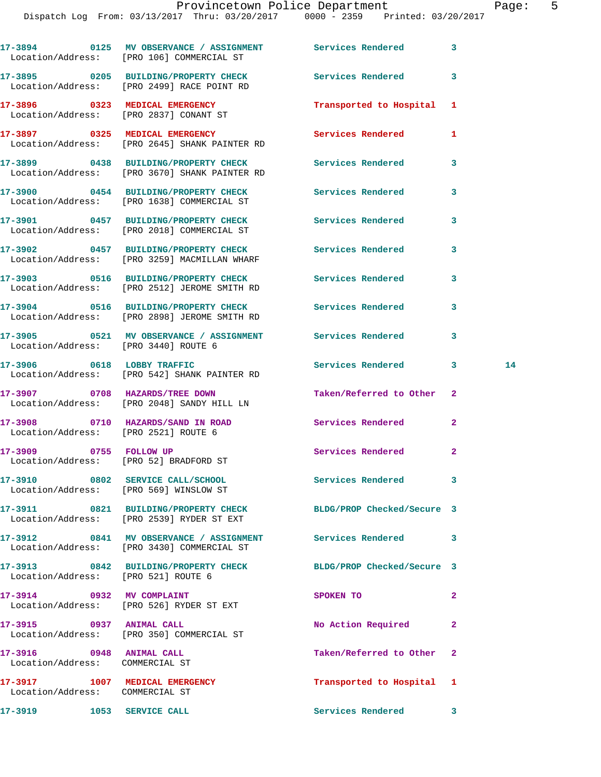Dispatch Log From: 03/13/2017 Thru: 03/20/2017 0000 - 2359 Printed: 03/20/2017

|                                                             | 17-3894 0125 MV OBSERVANCE / ASSIGNMENT Services Rendered 3<br>Location/Address: [PRO 106] COMMERCIAL ST     |                           |                |    |
|-------------------------------------------------------------|--------------------------------------------------------------------------------------------------------------|---------------------------|----------------|----|
|                                                             | 17-3895 0205 BUILDING/PROPERTY CHECK<br>Location/Address: [PRO 2499] RACE POINT RD                           | Services Rendered         | 3              |    |
|                                                             | 17-3896 0323 MEDICAL EMERGENCY<br>Location/Address: [PRO 2837] CONANT ST                                     | Transported to Hospital 1 |                |    |
|                                                             | 17-3897 0325 MEDICAL EMERGENCY<br>Location/Address: [PRO 2645] SHANK PAINTER RD                              | <b>Services Rendered</b>  | 1              |    |
|                                                             | 17-3899 0438 BUILDING/PROPERTY CHECK Services Rendered<br>Location/Address: [PRO 3670] SHANK PAINTER RD      |                           | 3              |    |
|                                                             | 17-3900 0454 BUILDING/PROPERTY CHECK<br>Location/Address: [PRO 1638] COMMERCIAL ST                           | Services Rendered         | 3              |    |
|                                                             | 17-3901 0457 BUILDING/PROPERTY CHECK Services Rendered<br>Location/Address: [PRO 2018] COMMERCIAL ST         |                           | 3              |    |
|                                                             | 17-3902 0457 BUILDING/PROPERTY CHECK<br>Location/Address: [PRO 3259] MACMILLAN WHARF                         | Services Rendered         | 3              |    |
|                                                             | 17-3903 0516 BUILDING/PROPERTY CHECK Services Rendered<br>Location/Address: [PRO 2512] JEROME SMITH RD       |                           | 3              |    |
|                                                             | 17-3904 0516 BUILDING/PROPERTY CHECK Services Rendered<br>Location/Address: [PRO 2898] JEROME SMITH RD       |                           | 3              |    |
|                                                             | 17-3905 0521 MV OBSERVANCE / ASSIGNMENT Services Rendered<br>Location/Address: [PRO 3440] ROUTE 6            |                           | 3              |    |
|                                                             | 17-3906 0618 LOBBY TRAFFIC<br>Location/Address: [PRO 542] SHANK PAINTER RD                                   | Services Rendered 3       |                | 14 |
|                                                             | 17-3907 0708 HAZARDS/TREE DOWN<br>Location/Address: [PRO 2048] SANDY HILL LN                                 | Taken/Referred to Other   | 2              |    |
|                                                             | 17-3908 0710 HAZARDS/SAND IN ROAD Services Rendered<br>Location/Address: [PRO 2521] ROUTE 6                  |                           | $\mathbf{2}$   |    |
|                                                             | 17-3909 0755 FOLLOW UP<br>Location/Address: [PRO 52] BRADFORD ST                                             | Services Rendered         | 2              |    |
|                                                             | 17-3910 0802 SERVICE CALL/SCHOOL<br>Location/Address: [PRO 569] WINSLOW ST                                   | Services Rendered 3       |                |    |
|                                                             | 17-3911 0821 BUILDING/PROPERTY CHECK BLDG/PROP Checked/Secure 3<br>Location/Address: [PRO 2539] RYDER ST EXT |                           |                |    |
|                                                             | 17-3912 0841 MV OBSERVANCE / ASSIGNMENT Services Rendered 3<br>Location/Address: [PRO 3430] COMMERCIAL ST    |                           |                |    |
| Location/Address: [PRO 521] ROUTE 6                         | 17-3913 0842 BUILDING/PROPERTY CHECK BLDG/PROP Checked/Secure 3                                              |                           |                |    |
|                                                             | 17-3914 0932 MV COMPLAINT<br>Location/Address: [PRO 526] RYDER ST EXT                                        | SPOKEN TO                 | $\overline{a}$ |    |
| 17-3915 0937 ANIMAL CALL                                    | Location/Address: [PRO 350] COMMERCIAL ST                                                                    | No Action Required        | $\overline{2}$ |    |
| 17-3916 0948 ANIMAL CALL<br>Location/Address: COMMERCIAL ST |                                                                                                              | Taken/Referred to Other   | $\overline{2}$ |    |
| Location/Address: COMMERCIAL ST                             | 17-3917 1007 MEDICAL EMERGENCY                                                                               | Transported to Hospital 1 |                |    |
| 17-3919 1053 SERVICE CALL                                   |                                                                                                              | Services Rendered 3       |                |    |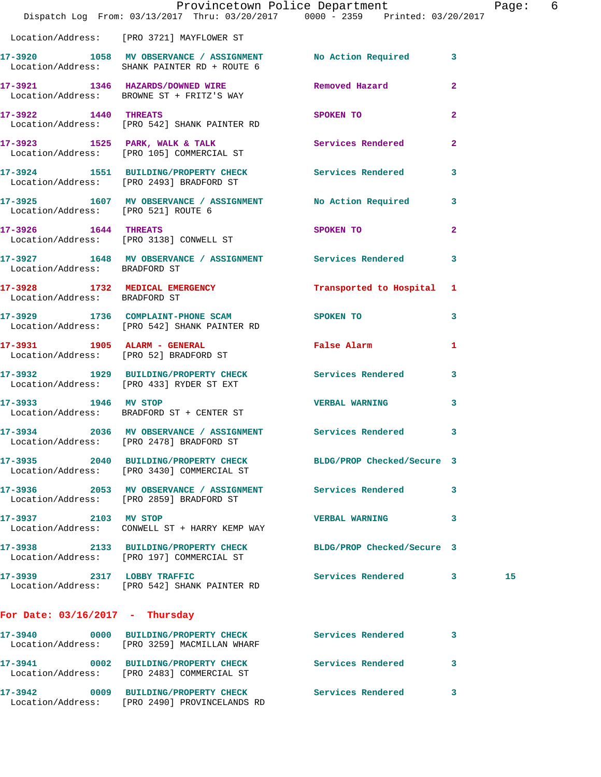|                                     | Dispatch Log From: 03/13/2017 Thru: 03/20/2017 0000 - 2359 Printed: 03/20/2017                                | Provincetown Police Department Page: 6 |                |    |  |
|-------------------------------------|---------------------------------------------------------------------------------------------------------------|----------------------------------------|----------------|----|--|
|                                     | Location/Address: [PRO 3721] MAYFLOWER ST                                                                     |                                        |                |    |  |
|                                     | 17-3920 1058 MV OBSERVANCE / ASSIGNMENT No Action Required<br>Location/Address: SHANK PAINTER RD + ROUTE 6    |                                        | $\mathbf{3}$   |    |  |
|                                     | 17-3921 1346 HAZARDS/DOWNED WIRE Removed Hazard<br>Location/Address: BROWNE ST + FRITZ'S WAY                  |                                        | $\mathbf{2}$   |    |  |
| 17-3922 1440 THREATS                | Location/Address: [PRO 542] SHANK PAINTER RD                                                                  | SPOKEN TO                              | $\overline{2}$ |    |  |
|                                     | 17-3923 1525 PARK, WALK & TALK 1999 Services Rendered<br>Location/Address: [PRO 105] COMMERCIAL ST            |                                        | $\overline{2}$ |    |  |
|                                     | 17-3924 1551 BUILDING/PROPERTY CHECK Services Rendered<br>Location/Address: [PRO 2493] BRADFORD ST            |                                        | 3              |    |  |
| Location/Address: [PRO 521] ROUTE 6 | 17-3925 1607 MV OBSERVANCE / ASSIGNMENT No Action Required                                                    |                                        | 3              |    |  |
| 17-3926 1644 THREATS                | Location/Address: [PRO 3138] CONWELL ST                                                                       | SPOKEN TO AND THE SPOKEN TO            | $\mathbf{2}$   |    |  |
|                                     | 17-3927 1648 MV OBSERVANCE / ASSIGNMENT Services Rendered<br>Location/Address: BRADFORD ST                    |                                        | 3              |    |  |
| Location/Address: BRADFORD ST       | 17-3928 1732 MEDICAL EMERGENCY 1 Transported to Hospital 1                                                    |                                        |                |    |  |
|                                     | 17-3929 1736 COMPLAINT-PHONE SCAM SPOKEN TO<br>Location/Address: [PRO 542] SHANK PAINTER RD                   |                                        | 3              |    |  |
|                                     | 17-3931 1905 ALARM - GENERAL<br>Location/Address: [PRO 52] BRADFORD ST                                        | False Alarm                            | 1              |    |  |
|                                     | 17-3932 1929 BUILDING/PROPERTY CHECK Services Rendered<br>Location/Address: [PRO 433] RYDER ST EXT            |                                        | 3              |    |  |
| 17-3933 1946 MV STOP                | Location/Address: BRADFORD ST + CENTER ST                                                                     | <b>VERBAL WARNING</b>                  | 3              |    |  |
|                                     | 17-3934 2036 MV OBSERVANCE / ASSIGNMENT Services Rendered 3<br>Location/Address: [PRO 2478] BRADFORD ST       |                                        |                |    |  |
|                                     | 17-3935 2040 BUILDING/PROPERTY CHECK BLDG/PROP Checked/Secure 3<br>Location/Address: [PRO 3430] COMMERCIAL ST |                                        |                |    |  |
|                                     | 17-3936 2053 MV OBSERVANCE / ASSIGNMENT Services Rendered<br>Location/Address: [PRO 2859] BRADFORD ST         |                                        | 3              |    |  |
| 17-3937 2103 MV STOP                | Location/Address: CONWELL ST + HARRY KEMP WAY                                                                 | <b>VERBAL WARNING</b>                  | 3              |    |  |
|                                     | 17-3938 2133 BUILDING/PROPERTY CHECK BLDG/PROP Checked/Secure 3<br>Location/Address: [PRO 197] COMMERCIAL ST  |                                        |                |    |  |
| 17-3939 2317 LOBBY TRAFFIC          | Location/Address: [PRO 542] SHANK PAINTER RD                                                                  | Services Rendered 3                    |                | 15 |  |
| For Date: $03/16/2017$ - Thursday   |                                                                                                               |                                        |                |    |  |
|                                     | Location/Address: [PRO 3259] MACMILLAN WHARF                                                                  | Services Rendered                      | 3              |    |  |
|                                     | 17-3941 0002 BUILDING/PROPERTY CHECK<br>Location/Address: [PRO 2483] COMMERCIAL ST                            | Services Rendered                      | 3              |    |  |
|                                     | 17-3942 0009 BUILDING/PROPERTY CHECK                                                                          | <b>Services Rendered</b>               | 3              |    |  |

Location/Address: [PRO 2490] PROVINCELANDS RD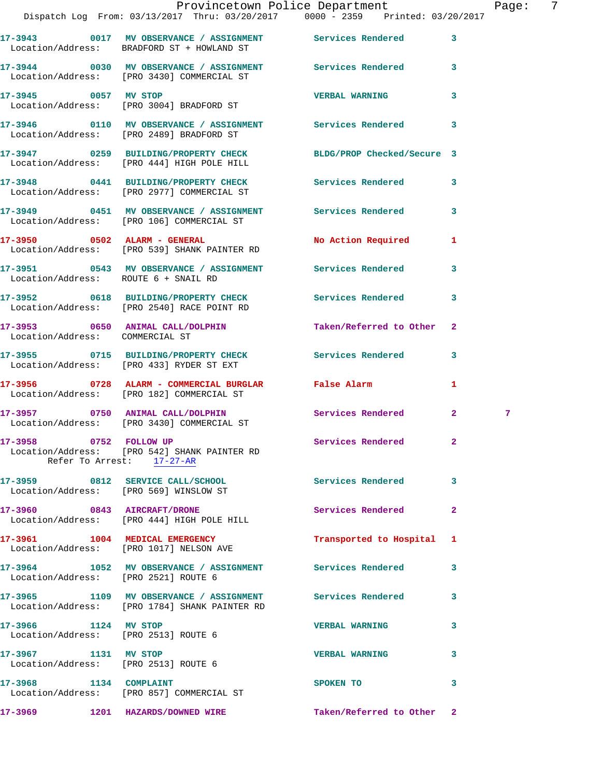**17-3943 0017 MV OBSERVANCE / ASSIGNMENT Services Rendered 3**  Location/Address: BRADFORD ST + HOWLAND ST **17-3944 0030 MV OBSERVANCE / ASSIGNMENT Services Rendered 3**  Location/Address: [PRO 3430] COMMERCIAL ST **17-3945 0057 MV STOP VERBAL WARNING 3**  Location/Address: [PRO 3004] BRADFORD ST **17-3946 0110 MV OBSERVANCE / ASSIGNMENT Services Rendered 3**  Location/Address: [PRO 2489] BRADFORD ST **17-3947 0259 BUILDING/PROPERTY CHECK BLDG/PROP Checked/Secure 3**  Location/Address: [PRO 444] HIGH POLE HILL **17-3948 0441 BUILDING/PROPERTY CHECK Services Rendered 3**  Location/Address: [PRO 2977] COMMERCIAL ST **17-3949 0451 MV OBSERVANCE / ASSIGNMENT Services Rendered 3**  Location/Address: [PRO 106] COMMERCIAL ST **17-3950 0502 ALARM - GENERAL No Action Required 1**  Location/Address: [PRO 539] SHANK PAINTER RD **17-3951 0543 MV OBSERVANCE / ASSIGNMENT Services Rendered 3**  Location/Address: ROUTE 6 + SNAIL RD **17-3952 0618 BUILDING/PROPERTY CHECK Services Rendered 3**  Location/Address: [PRO 2540] RACE POINT RD **17-3953 0650 ANIMAL CALL/DOLPHIN Taken/Referred to Other 2**  Location/Address: COMMERCIAL ST **17-3955 0715 BUILDING/PROPERTY CHECK Services Rendered 3**  Location/Address: [PRO 433] RYDER ST EXT **17-3956 0728 ALARM - COMMERCIAL BURGLAR False Alarm 1**  Location/Address: [PRO 182] COMMERCIAL ST **17-3957 0750 ANIMAL CALL/DOLPHIN Services Rendered 2 7**  Location/Address: [PRO 3430] COMMERCIAL ST **17-3958 0752 FOLLOW UP Services Rendered 2**  Location/Address: [PRO 542] SHANK PAINTER RD Refer To Arrest: 17-27-AR **17-3959 0812 SERVICE CALL/SCHOOL Services Rendered 3**  Location/Address: [PRO 569] WINSLOW ST **17-3960 0843 AIRCRAFT/DRONE Services Rendered 2**  Location/Address: [PRO 444] HIGH POLE HILL **17-3961 1004 MEDICAL EMERGENCY Transported to Hospital 1**  Location/Address: [PRO 1017] NELSON AVE **17-3964 1052 MV OBSERVANCE / ASSIGNMENT Services Rendered 3**  Location/Address: [PRO 2521] ROUTE 6 **17-3965 1109 MV OBSERVANCE / ASSIGNMENT Services Rendered 3**  Location/Address: [PRO 1784] SHANK PAINTER RD **17-3966 1124 MV STOP VERBAL WARNING 3**  Location/Address: [PRO 2513] ROUTE 6 **17-3967 1131 MV STOP VERBAL WARNING 3**  Location/Address: [PRO 2513] ROUTE 6 **17-3968 1134 COMPLAINT SPOKEN TO 3**  Location/Address: [PRO 857] COMMERCIAL ST

**17-3969 1201 HAZARDS/DOWNED WIRE Taken/Referred to Other 2**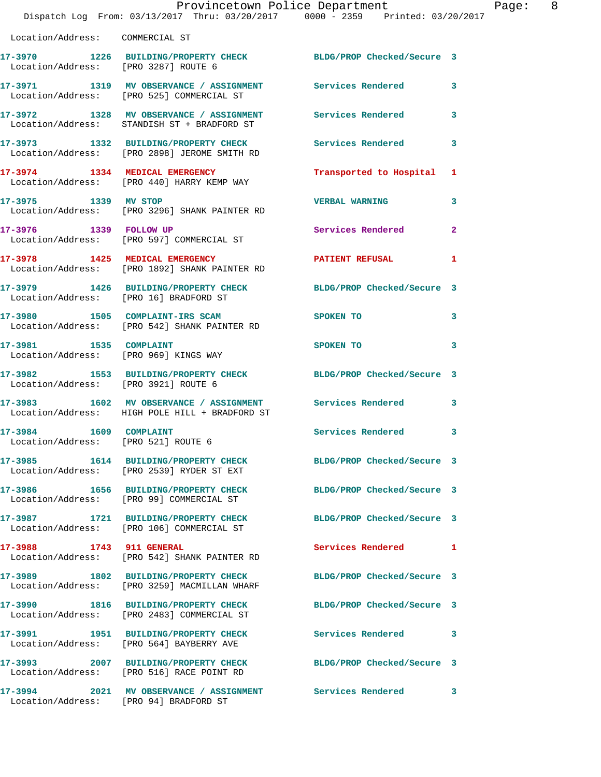|                                                               | Provincetown Police Department<br>Dispatch Log From: 03/13/2017 Thru: 03/20/2017 0000 - 2359 Printed: 03/20/2017 |                            | Page: 8      |
|---------------------------------------------------------------|------------------------------------------------------------------------------------------------------------------|----------------------------|--------------|
| Location/Address: COMMERCIAL ST                               |                                                                                                                  |                            |              |
|                                                               | 17-3970 1226 BUILDING/PROPERTY CHECK BLDG/PROP Checked/Secure 3<br>Location/Address: [PRO 3287] ROUTE 6          |                            |              |
|                                                               | 17-3971 1319 MV OBSERVANCE / ASSIGNMENT Services Rendered 3<br>Location/Address: [PRO 525] COMMERCIAL ST         |                            |              |
|                                                               | 17-3972 1328 MV OBSERVANCE / ASSIGNMENT Services Rendered 3<br>Location/Address: STANDISH ST + BRADFORD ST       |                            |              |
|                                                               | 17-3973 1332 BUILDING/PROPERTY CHECK Services Rendered 3<br>Location/Address: [PRO 2898] JEROME SMITH RD         |                            |              |
|                                                               | 17-3974 1334 MEDICAL EMERGENCY Transported to Hospital 1<br>Location/Address: [PRO 440] HARRY KEMP WAY           |                            |              |
|                                                               | 17-3975 1339 MV STOP<br>Location/Address: [PRO 3296] SHANK PAINTER RD                                            | <b>VERBAL WARNING</b>      | $\mathbf{3}$ |
|                                                               | 17-3976 1339 FOLLOW UP Services Rendered<br>Location/Address: [PRO 597] COMMERCIAL ST                            |                            | $\mathbf{2}$ |
|                                                               | 17-3978 1425 MEDICAL EMERGENCY PATIENT REFUSAL 1<br>Location/Address: [PRO 1892] SHANK PAINTER RD                |                            |              |
|                                                               | 17-3979 1426 BUILDING/PROPERTY CHECK BLDG/PROP Checked/Secure 3<br>Location/Address: [PRO 16] BRADFORD ST        |                            |              |
|                                                               | 17-3980 1505 COMPLAINT-IRS SCAM SPOKEN TO<br>Location/Address: [PRO 542] SHANK PAINTER RD                        |                            | $\mathbf{3}$ |
|                                                               | 17-3981 1535 COMPLAINT<br>Location/Address: [PRO 969] KINGS WAY                                                  | SPOKEN TO                  | 3            |
| Location/Address: [PRO 3921] ROUTE 6                          | 17-3982 1553 BUILDING/PROPERTY CHECK BLDG/PROP Checked/Secure 3                                                  |                            |              |
|                                                               | 17-3983 1602 MV OBSERVANCE / ASSIGNMENT Services Rendered 3<br>Location/Address: HIGH POLE HILL + BRADFORD ST    |                            |              |
| 17-3984 1609 COMPLAINT<br>Location/Address: [PRO 521] ROUTE 6 |                                                                                                                  | Services Rendered 3        |              |
|                                                               | 17-3985 1614 BUILDING/PROPERTY CHECK BLDG/PROP Checked/Secure 3<br>Location/Address: [PRO 2539] RYDER ST EXT     |                            |              |
|                                                               | 17-3986 1656 BUILDING/PROPERTY CHECK<br>Location/Address: [PRO 99] COMMERCIAL ST                                 | BLDG/PROP Checked/Secure 3 |              |
|                                                               | 17-3987 1721 BUILDING/PROPERTY CHECK BLDG/PROP Checked/Secure 3<br>Location/Address: [PRO 106] COMMERCIAL ST     |                            |              |
| 17-3988 1743 911 GENERAL                                      | Location/Address: [PRO 542] SHANK PAINTER RD                                                                     | Services Rendered 1        |              |
|                                                               | 17-3989 1802 BUILDING/PROPERTY CHECK BLDG/PROP Checked/Secure 3<br>Location/Address: [PRO 3259] MACMILLAN WHARF  |                            |              |
|                                                               | 17-3990 1816 BUILDING/PROPERTY CHECK BLDG/PROP Checked/Secure 3<br>Location/Address: [PRO 2483] COMMERCIAL ST    |                            |              |
|                                                               | 17-3991 1951 BUILDING/PROPERTY CHECK Services Rendered<br>Location/Address: [PRO 564] BAYBERRY AVE               |                            | 3            |
|                                                               | 17-3993 2007 BUILDING/PROPERTY CHECK BLDG/PROP Checked/Secure 3<br>Location/Address: [PRO 516] RACE POINT RD     |                            |              |
|                                                               | 17-3994 2021 MV OBSERVANCE / ASSIGNMENT Services Rendered 3<br>Location/Address: [PRO 94] BRADFORD ST            |                            |              |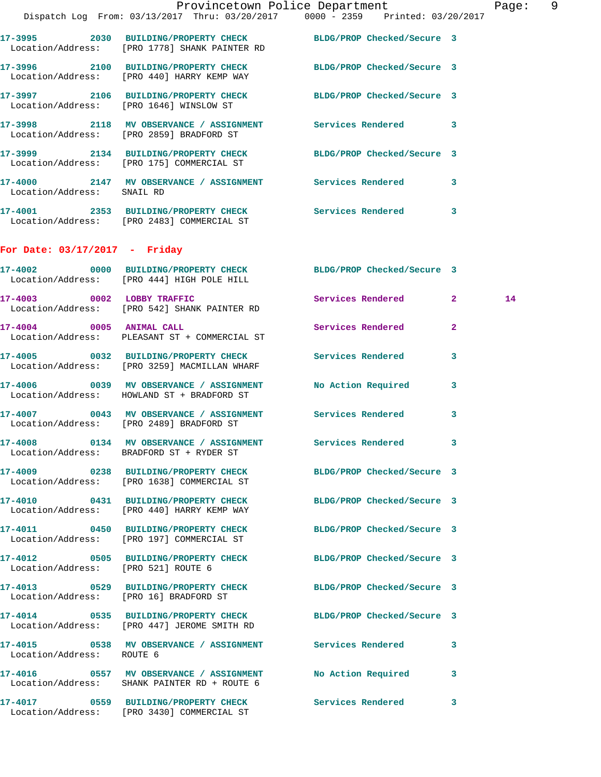|                                 | Provincetown Police Department                                                                                   |                            |              | Page: 9 |  |
|---------------------------------|------------------------------------------------------------------------------------------------------------------|----------------------------|--------------|---------|--|
|                                 | Dispatch Log From: 03/13/2017 Thru: 03/20/2017 0000 - 2359 Printed: 03/20/2017                                   |                            |              |         |  |
|                                 | 17-3995 2030 BUILDING/PROPERTY CHECK BLDG/PROP Checked/Secure 3<br>Location/Address: [PRO 1778] SHANK PAINTER RD |                            |              |         |  |
|                                 | 17-3996 2100 BUILDING/PROPERTY CHECK BLDG/PROP Checked/Secure 3<br>Location/Address: [PRO 440] HARRY KEMP WAY    |                            |              |         |  |
|                                 | 17-3997 2106 BUILDING/PROPERTY CHECK BLDG/PROP Checked/Secure 3<br>Location/Address: [PRO 1646] WINSLOW ST       |                            |              |         |  |
|                                 | 17-3998 2118 MV OBSERVANCE / ASSIGNMENT Services Rendered 3<br>Location/Address: [PRO 2859] BRADFORD ST          |                            |              |         |  |
|                                 | 17-3999 2134 BUILDING/PROPERTY CHECK BLDG/PROP Checked/Secure 3<br>Location/Address: [PRO 175] COMMERCIAL ST     |                            |              |         |  |
| Location/Address: SNAIL RD      | 17-4000 2147 MV OBSERVANCE / ASSIGNMENT Services Rendered 3                                                      |                            |              |         |  |
|                                 | 17-4001 2353 BUILDING/PROPERTY CHECK Services Rendered 3<br>Location/Address: [PRO 2483] COMMERCIAL ST           |                            |              |         |  |
| For Date: $03/17/2017$ - Friday |                                                                                                                  |                            |              |         |  |
|                                 | 17-4002 0000 BUILDING/PROPERTY CHECK BLDG/PROP Checked/Secure 3<br>Location/Address: [PRO 444] HIGH POLE HILL    |                            |              |         |  |
|                                 | 17-4003 0002 LOBBY TRAFFIC<br>Location/Address: [PRO 542] SHANK PAINTER RD                                       | Services Rendered 2        |              | 14      |  |
|                                 | 17-4004 0005 ANIMAL CALL<br>Location/Address: PLEASANT ST + COMMERCIAL ST                                        | Services Rendered          | $\mathbf{2}$ |         |  |
|                                 | 17-4005 0032 BUILDING/PROPERTY CHECK Services Rendered 3<br>Location/Address: [PRO 3259] MACMILLAN WHARF         |                            |              |         |  |
|                                 | 17-4006 0039 MV OBSERVANCE / ASSIGNMENT<br>Location/Address: HOWLAND ST + BRADFORD ST                            | No Action Required         | $\mathbf{3}$ |         |  |
|                                 | 17-4007 0043 MV OBSERVANCE / ASSIGNMENT Services Rendered 3<br>Location/Address: [PRO 2489] BRADFORD ST          |                            |              |         |  |
| 17-4008                         | 0134 MV OBSERVANCE / ASSIGNMENT<br>Location/Address: BRADFORD ST + RYDER ST                                      | Services Rendered          | 3            |         |  |
|                                 | 17-4009 0238 BUILDING/PROPERTY CHECK<br>Location/Address: [PRO 1638] COMMERCIAL ST                               | BLDG/PROP Checked/Secure 3 |              |         |  |
|                                 | 17-4010 0431 BUILDING/PROPERTY CHECK<br>Location/Address: [PRO 440] HARRY KEMP WAY                               | BLDG/PROP Checked/Secure 3 |              |         |  |

**17-4011 0450 BUILDING/PROPERTY CHECK BLDG/PROP Checked/Secure 3**  Location/Address: [PRO 197] COMMERCIAL ST

**17-4012 0505 BUILDING/PROPERTY CHECK BLDG/PROP Checked/Secure 3** 

**17-4013 0529 BUILDING/PROPERTY CHECK BLDG/PROP Checked/Secure 3** 

Location/Address: ROUTE 6

Location/Address: [PRO 521] ROUTE 6

Location/Address: [PRO 16] BRADFORD ST

Location/Address: [PRO 447] JEROME SMITH RD

**17-4016 0557 MV OBSERVANCE / ASSIGNMENT No Action Required 3**  Location/Address: SHANK PAINTER RD + ROUTE 6

**17-4017 0559 BUILDING/PROPERTY CHECK Services Rendered 3**  Location/Address: [PRO 3430] COMMERCIAL ST

**17-4014 0535 BUILDING/PROPERTY CHECK BLDG/PROP Checked/Secure 3** 

**17-4015 0538 MV OBSERVANCE / ASSIGNMENT Services Rendered 3**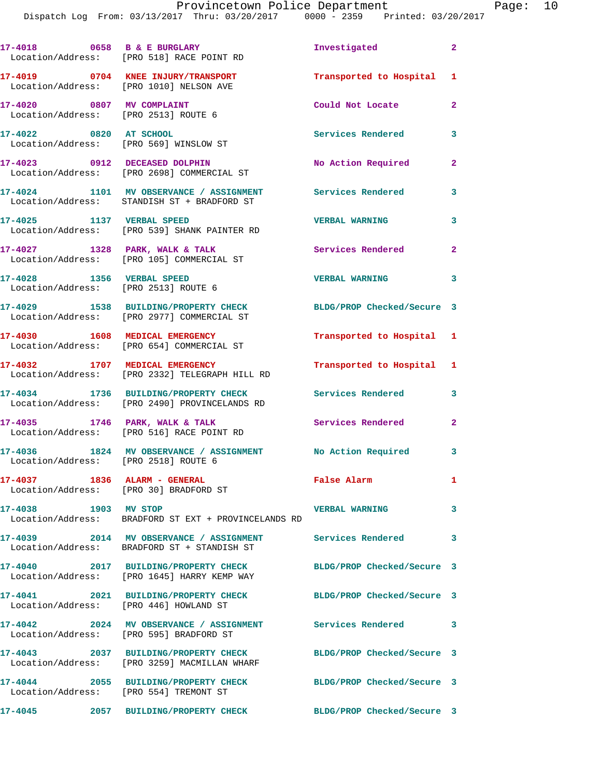|                                                                        | 17-4018 0658 B & E BURGLARY<br>Location/Address: [PRO 518] RACE POINT RD                                 | Investigated               | $\overline{\mathbf{2}}$    |
|------------------------------------------------------------------------|----------------------------------------------------------------------------------------------------------|----------------------------|----------------------------|
|                                                                        | 17-4019 0704 KNEE INJURY/TRANSPORT<br>Location/Address: [PRO 1010] NELSON AVE                            | Transported to Hospital 1  |                            |
| 17-4020 0807 MV COMPLAINT<br>Location/Address: [PRO 2513] ROUTE 6      |                                                                                                          | Could Not Locate           | $\mathbf{2}$               |
| 17-4022 0820 AT SCHOOL                                                 | Location/Address: [PRO 569] WINSLOW ST                                                                   | Services Rendered 3        |                            |
|                                                                        | 17-4023 0912 DECEASED DOLPHIN<br>Location/Address: [PRO 2698] COMMERCIAL ST                              | No Action Required         | $\mathbf{2}$               |
|                                                                        | 17-4024 1101 MV OBSERVANCE / ASSIGNMENT<br>Location/Address: STANDISH ST + BRADFORD ST                   | Services Rendered          | $\mathbf{3}$               |
| 17-4025 1137 VERBAL SPEED                                              | Location/Address: [PRO 539] SHANK PAINTER RD                                                             | <b>VERBAL WARNING</b>      | 3                          |
| $17-4027$ 1328 PARK, WALK & TALK                                       | Location/Address: [PRO 105] COMMERCIAL ST                                                                | Services Rendered          | $\mathbf{2}$               |
| 17-4028 1356 VERBAL SPEED<br>Location/Address: [PRO 2513] ROUTE 6      |                                                                                                          | <b>VERBAL WARNING</b>      | $\overline{\mathbf{3}}$    |
|                                                                        | 17-4029 1538 BUILDING/PROPERTY CHECK<br>Location/Address: [PRO 2977] COMMERCIAL ST                       | BLDG/PROP Checked/Secure 3 |                            |
|                                                                        | 17-4030 1608 MEDICAL EMERGENCY<br>Location/Address: [PRO 654] COMMERCIAL ST                              | Transported to Hospital 1  |                            |
|                                                                        | 17-4032 1707 MEDICAL EMERGENCY<br>Location/Address: [PRO 2332] TELEGRAPH HILL RD                         | Transported to Hospital 1  |                            |
|                                                                        | 17-4034 1736 BUILDING/PROPERTY CHECK<br>Location/Address: [PRO 2490] PROVINCELANDS RD                    | Services Rendered 3        |                            |
|                                                                        | 17-4035 1746 PARK, WALK & TALK<br>Location/Address: [PRO 516] RACE POINT RD                              | Services Rendered          | $\mathbf{2}$               |
| Location/Address: [PRO 2518] ROUTE 6                                   | 17-4036 1824 MV OBSERVANCE / ASSIGNMENT No Action Required 3                                             |                            |                            |
| 17-4037 1836 ALARM - GENERAL<br>Location/Address: [PRO 30] BRADFORD ST |                                                                                                          | False Alarm                | $\mathbf{1}$               |
| 17-4038 1903 MV STOP                                                   | Location/Address: BRADFORD ST EXT + PROVINCELANDS RD                                                     | <b>VERBAL WARNING</b>      | $\mathbf{3}$               |
|                                                                        | 17-4039 2014 MV OBSERVANCE / ASSIGNMENT Services Rendered<br>Location/Address: BRADFORD ST + STANDISH ST |                            | $\overline{\phantom{a}}$ 3 |
| 17-4040                                                                | 2017 BUILDING/PROPERTY CHECK<br>Location/Address: [PRO 1645] HARRY KEMP WAY                              | BLDG/PROP Checked/Secure 3 |                            |
| Location/Address: [PRO 446] HOWLAND ST                                 | 17-4041 2021 BUILDING/PROPERTY CHECK                                                                     | BLDG/PROP Checked/Secure 3 |                            |
|                                                                        | 17-4042 2024 MV OBSERVANCE / ASSIGNMENT Services Rendered 3<br>Location/Address: [PRO 595] BRADFORD ST   |                            |                            |
|                                                                        | 17-4043 2037 BUILDING/PROPERTY CHECK<br>Location/Address: [PRO 3259] MACMILLAN WHARF                     | BLDG/PROP Checked/Secure 3 |                            |
| Location/Address: [PRO 554] TREMONT ST                                 | 17-4044 2055 BUILDING/PROPERTY CHECK BLDG/PROP Checked/Secure 3                                          |                            |                            |
|                                                                        | 17-4045 2057 BUILDING/PROPERTY CHECK BLDG/PROP Checked/Secure 3                                          |                            |                            |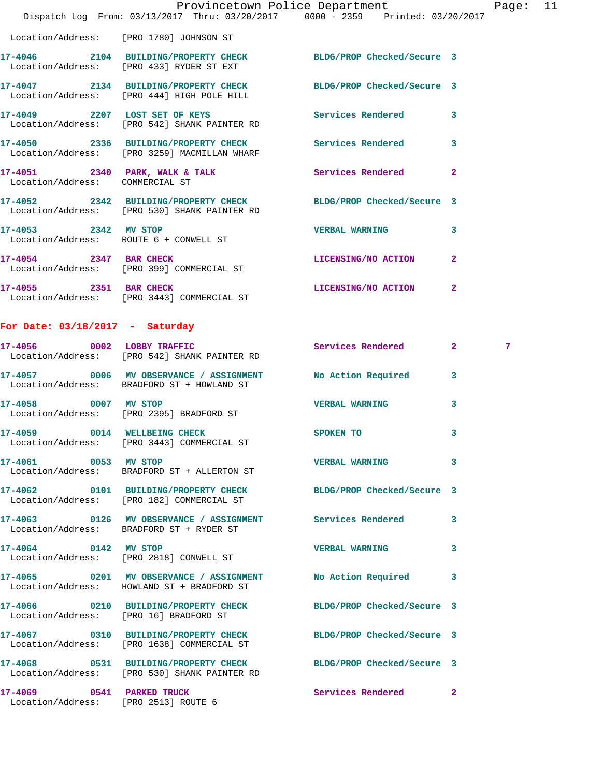|                                 | Dispatch Log From: 03/13/2017 Thru: 03/20/2017 0000 - 2359 Printed: 03/20/2017                                  | Provincetown Police Department |                         | Page: 11 |  |
|---------------------------------|-----------------------------------------------------------------------------------------------------------------|--------------------------------|-------------------------|----------|--|
|                                 | Location/Address: [PRO 1780] JOHNSON ST                                                                         |                                |                         |          |  |
|                                 | 17-4046 2104 BUILDING/PROPERTY CHECK BLDG/PROP Checked/Secure 3<br>Location/Address: [PRO 433] RYDER ST EXT     |                                |                         |          |  |
|                                 | 17-4047 2134 BUILDING/PROPERTY CHECK BLDG/PROP Checked/Secure 3<br>Location/Address: [PRO 444] HIGH POLE HILL   |                                |                         |          |  |
|                                 | 17-4049 2207 LOST SET OF KEYS Services Rendered<br>Location/Address: [PRO 542] SHANK PAINTER RD                 |                                | 3                       |          |  |
|                                 | 17-4050 2336 BUILDING/PROPERTY CHECK Services Rendered<br>Location/Address: [PRO 3259] MACMILLAN WHARF          |                                | $\overline{\mathbf{3}}$ |          |  |
| Location/Address: COMMERCIAL ST | 17-4051 2340 PARK, WALK & TALK 2008 Services Rendered                                                           |                                | $\mathbf{2}$            |          |  |
|                                 | 17-4052 2342 BUILDING/PROPERTY CHECK BLDG/PROP Checked/Secure 3<br>Location/Address: [PRO 530] SHANK PAINTER RD |                                |                         |          |  |
|                                 | 17-4053 2342 MV STOP<br>Location/Address: ROUTE 6 + CONWELL ST                                                  | <b>VERBAL WARNING</b>          | 3                       |          |  |
|                                 | 17-4054 2347 BAR CHECK<br>Location/Address: [PRO 399] COMMERCIAL ST                                             | LICENSING/NO ACTION            | $\overline{2}$          |          |  |
|                                 | 17-4055 2351 BAR CHECK LICENSING/NO ACTION<br>Location/Address: [PRO 3443] COMMERCIAL ST                        |                                | $\mathbf{2}$            |          |  |
|                                 |                                                                                                                 |                                |                         |          |  |

## **For Date: 03/18/2017 - Saturday**

|                                      | 17-4056 0002 LOBBY TRAFFIC<br>Location/Address: [PRO 542] SHANK PAINTER RD                                      | <b>Services Rendered</b> | $2^{\circ}$             | 7 <sup>7</sup> |
|--------------------------------------|-----------------------------------------------------------------------------------------------------------------|--------------------------|-------------------------|----------------|
|                                      | 17-4057 6006 MV OBSERVANCE / ASSIGNMENT No Action Required<br>Location/Address: BRADFORD ST + HOWLAND ST        |                          | 3                       |                |
| 17-4058 0007 MV STOP                 | Location/Address: [PRO 2395] BRADFORD ST                                                                        | <b>VERBAL WARNING</b>    | 3                       |                |
|                                      | 17-4059 0014 WELLBEING CHECK<br>Location/Address: [PRO 3443] COMMERCIAL ST                                      | SPOKEN TO                | 3                       |                |
| 17-4061 0053 MV STOP                 | Location/Address: BRADFORD ST + ALLERTON ST                                                                     | <b>VERBAL WARNING</b>    | $\overline{\mathbf{3}}$ |                |
|                                      | 17-4062 0101 BUILDING/PROPERTY CHECK BLDG/PROP Checked/Secure 3<br>Location/Address: [PRO 182] COMMERCIAL ST    |                          |                         |                |
|                                      | 17-4063  0126 MV OBSERVANCE / ASSIGNMENT Services Rendered<br>Location/Address: BRADFORD ST + RYDER ST          |                          | $\overline{\mathbf{3}}$ |                |
|                                      | 17-4064 0142 MV STOP<br>Location/Address: [PRO 2818] CONWELL ST                                                 | <b>VERBAL WARNING</b>    | 3                       |                |
|                                      | 17-4065 0201 MV OBSERVANCE / ASSIGNMENT No Action Required<br>Location/Address: HOWLAND ST + BRADFORD ST        |                          | 3                       |                |
|                                      | 17-4066 0210 BUILDING/PROPERTY CHECK BLDG/PROP Checked/Secure 3<br>Location/Address: [PRO 16] BRADFORD ST       |                          |                         |                |
|                                      | 17-4067 0310 BUILDING/PROPERTY CHECK BLDG/PROP Checked/Secure 3<br>Location/Address: [PRO 1638] COMMERCIAL ST   |                          |                         |                |
|                                      | 17-4068 0531 BUILDING/PROPERTY CHECK BLDG/PROP Checked/Secure 3<br>Location/Address: [PRO 530] SHANK PAINTER RD |                          |                         |                |
| Location/Address: [PRO 2513] ROUTE 6 | 17-4069 0541 PARKED TRUCK                                                                                       | <b>Services Rendered</b> | $\overline{2}$          |                |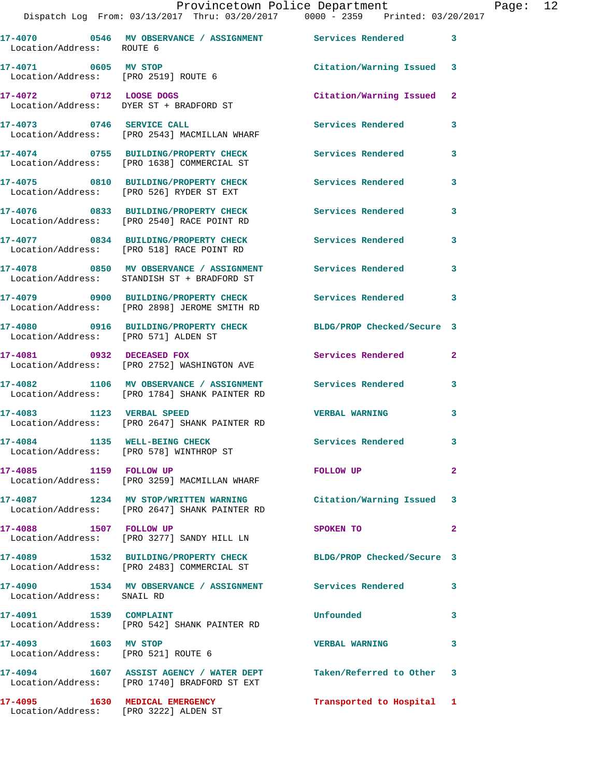## Provincetown Police Department Page: 12

Dispatch Log From: 03/13/2017 Thru: 03/20/2017 0000 - 2359 Printed: 03/20/2017

| Location/Address: ROUTE 6                                   | 17-4070 0546 MV OBSERVANCE / ASSIGNMENT Services Rendered                                                         |                            | 3                       |
|-------------------------------------------------------------|-------------------------------------------------------------------------------------------------------------------|----------------------------|-------------------------|
| 17-4071 0605 MV STOP                                        | Location/Address: [PRO 2519] ROUTE 6                                                                              | Citation/Warning Issued    | $\overline{\mathbf{3}}$ |
|                                                             | 17-4072 0712 LOOSE DOGS<br>Location/Address: DYER ST + BRADFORD ST                                                | Citation/Warning Issued    | $\mathbf{2}$            |
| 17-4073 0746 SERVICE CALL                                   | Location/Address: [PRO 2543] MACMILLAN WHARF                                                                      | Services Rendered          | 3                       |
|                                                             | 17-4074 0755 BUILDING/PROPERTY CHECK<br>Location/Address: [PRO 1638] COMMERCIAL ST                                | Services Rendered          | 3                       |
|                                                             | 17-4075 0810 BUILDING/PROPERTY CHECK<br>Location/Address: [PRO 526] RYDER ST EXT                                  | Services Rendered          | 3                       |
|                                                             | 17-4076 0833 BUILDING/PROPERTY CHECK<br>Location/Address: [PRO 2540] RACE POINT RD                                | <b>Services Rendered</b>   | 3                       |
|                                                             | 17-4077 0834 BUILDING/PROPERTY CHECK<br>Location/Address: [PRO 518] RACE POINT RD                                 | Services Rendered          | 3                       |
|                                                             | 17-4078 0850 MV OBSERVANCE / ASSIGNMENT<br>Location/Address: STANDISH ST + BRADFORD ST                            | Services Rendered          | 3                       |
|                                                             | 17-4079 0900 BUILDING/PROPERTY CHECK<br>Location/Address: [PRO 2898] JEROME SMITH RD                              | <b>Services Rendered</b>   | 3                       |
| Location/Address: [PRO 571] ALDEN ST                        | 17-4080 0916 BUILDING/PROPERTY CHECK                                                                              | BLDG/PROP Checked/Secure 3 |                         |
| 17-4081 0932 DECEASED FOX                                   | Location/Address: [PRO 2752] WASHINGTON AVE                                                                       | Services Rendered          | 2                       |
|                                                             | 17-4082 1106 MV OBSERVANCE / ASSIGNMENT<br>Location/Address: [PRO 1784] SHANK PAINTER RD                          | Services Rendered          | 3                       |
| 17-4083 1123 VERBAL SPEED                                   | Location/Address: [PRO 2647] SHANK PAINTER RD                                                                     | <b>VERBAL WARNING</b>      | 3                       |
| 17-4084 1135 WELL-BEING CHECK                               | Location/Address: [PRO 578] WINTHROP ST                                                                           | Services Rendered          | 3                       |
|                                                             | Location/Address: [PRO 3259] MACMILLAN WHARF                                                                      | FOLLOW UP                  | $\mathbf{2}$            |
|                                                             | 17-4087 1234 MV STOP/WRITTEN WARNING<br>Location/Address: [PRO 2647] SHANK PAINTER RD                             | Citation/Warning Issued 3  |                         |
| 17-4088 1507 FOLLOW UP                                      | Location/Address: [PRO 3277] SANDY HILL LN                                                                        | SPOKEN TO                  | 2                       |
|                                                             | 17-4089 1532 BUILDING/PROPERTY CHECK<br>Location/Address: [PRO 2483] COMMERCIAL ST                                | BLDG/PROP Checked/Secure 3 |                         |
| Location/Address: SNAIL RD                                  | 17-4090 1534 MV OBSERVANCE / ASSIGNMENT Services Rendered                                                         |                            | 3                       |
| 17-4091   1539   COMPLAINT                                  | Location/Address: [PRO 542] SHANK PAINTER RD                                                                      | Unfounded                  | 3                       |
| 17-4093 1603 MV STOP<br>Location/Address: [PRO 521] ROUTE 6 |                                                                                                                   | <b>VERBAL WARNING</b>      | 3                       |
|                                                             | 17-4094 1607 ASSIST AGENCY / WATER DEPT Taken/Referred to Other 3<br>Location/Address: [PRO 1740] BRADFORD ST EXT |                            |                         |
| 17-4095 1630 MEDICAL EMERGENCY                              | Location/Address: [PRO 3222] ALDEN ST                                                                             | Transported to Hospital 1  |                         |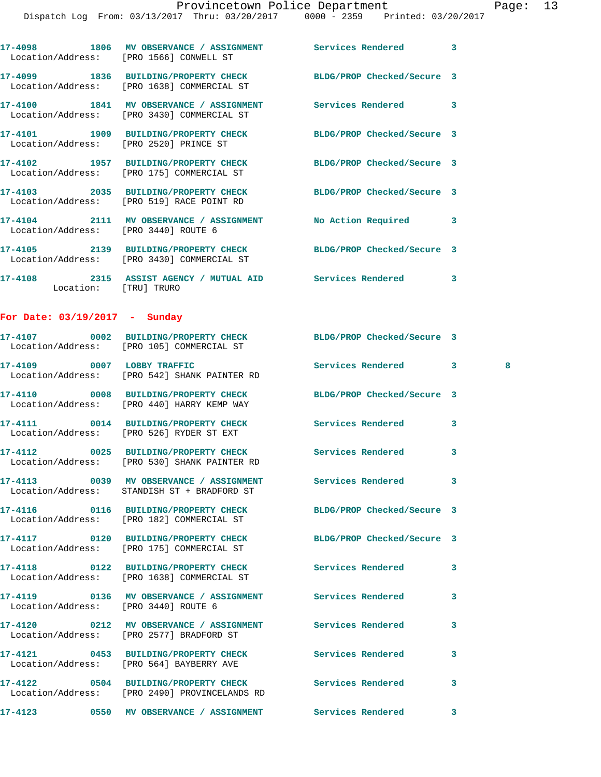|                                      | 17-4098 1806 MV OBSERVANCE / ASSIGNMENT Services Rendered<br>Location/Address: [PRO 1566] CONWELL ST          |                            | 3      |
|--------------------------------------|---------------------------------------------------------------------------------------------------------------|----------------------------|--------|
|                                      | 17-4099 1836 BUILDING/PROPERTY CHECK BLDG/PROP Checked/Secure 3<br>Location/Address: [PRO 1638] COMMERCIAL ST |                            |        |
|                                      | 17-4100 1841 MV OBSERVANCE / ASSIGNMENT Services Rendered<br>Location/Address: [PRO 3430] COMMERCIAL ST       |                            | 3      |
|                                      | 17-4101 1909 BUILDING/PROPERTY CHECK BLDG/PROP Checked/Secure 3<br>Location/Address: [PRO 2520] PRINCE ST     |                            |        |
|                                      | 17-4102 1957 BUILDING/PROPERTY CHECK<br>Location/Address: [PRO 175] COMMERCIAL ST                             | BLDG/PROP Checked/Secure 3 |        |
|                                      | 17-4103 2035 BUILDING/PROPERTY CHECK<br>Location/Address: [PRO 519] RACE POINT RD                             | BLDG/PROP Checked/Secure 3 |        |
| Location/Address: [PRO 3440] ROUTE 6 | 17-4104 2111 MV OBSERVANCE / ASSIGNMENT No Action Required                                                    |                            | 3      |
|                                      | 17-4105 2139 BUILDING/PROPERTY CHECK BLDG/PROP Checked/Secure 3<br>Location/Address: [PRO 3430] COMMERCIAL ST |                            |        |
| Location: [TRU] TRURO                | 17-4108 2315 ASSIST AGENCY / MUTUAL AID Services Rendered 3                                                   |                            |        |
| For Date: $03/19/2017 - Sunday$      |                                                                                                               |                            |        |
|                                      | 17-4107 0002 BUILDING/PROPERTY CHECK BLDG/PROP Checked/Secure 3<br>Location/Address: [PRO 105] COMMERCIAL ST  |                            |        |
|                                      | 17-4109 0007 LOBBY TRAFFIC<br>Location/Address: [PRO 542] SHANK PAINTER RD                                    | Services Rendered          | 3<br>8 |
|                                      | 17-4110 0008 BUILDING/PROPERTY CHECK<br>Location/Address: [PRO 440] HARRY KEMP WAY                            | BLDG/PROP Checked/Secure 3 |        |
|                                      | 17-4111 0014 BUILDING/PROPERTY CHECK<br>Location/Address: [PRO 526] RYDER ST EXT                              | Services Rendered          | 3      |
|                                      | 17-4112 0025 BUILDING/PROPERTY CHECK Services Rendered<br>Location/Address: [PRO 530] SHANK PAINTER RD        |                            | 3      |
|                                      | 17-4113 0039 MV OBSERVANCE / ASSIGNMENT<br>Location/Address: STANDISH ST + BRADFORD ST                        | Services Rendered          | 3      |
|                                      | 17-4116  0116  BUILDING/PROPERTY CHECK<br>Location/Address: [PRO 182] COMMERCIAL ST                           | BLDG/PROP Checked/Secure 3 |        |
|                                      | 17-4117 0120 BUILDING/PROPERTY CHECK BLDG/PROP Checked/Secure 3<br>Location/Address: [PRO 175] COMMERCIAL ST  |                            |        |
|                                      | 17-4118 		 0122 BUILDING/PROPERTY CHECK Services Rendered<br>Location/Address: [PRO 1638] COMMERCIAL ST       |                            | 3      |
| Location/Address: [PRO 3440] ROUTE 6 |                                                                                                               |                            | 3      |
|                                      | 17-4120 0212 MV OBSERVANCE / ASSIGNMENT Services Rendered<br>Location/Address: [PRO 2577] BRADFORD ST         |                            | 3      |
|                                      | 17-4121 0453 BUILDING/PROPERTY CHECK<br>Location/Address: [PRO 564] BAYBERRY AVE                              | Services Rendered          | 3      |
|                                      | 17-4122 0504 BUILDING/PROPERTY CHECK Services Rendered<br>Location/Address: [PRO 2490] PROVINCELANDS RD       |                            | 3      |
|                                      |                                                                                                               |                            | 3      |
|                                      |                                                                                                               |                            |        |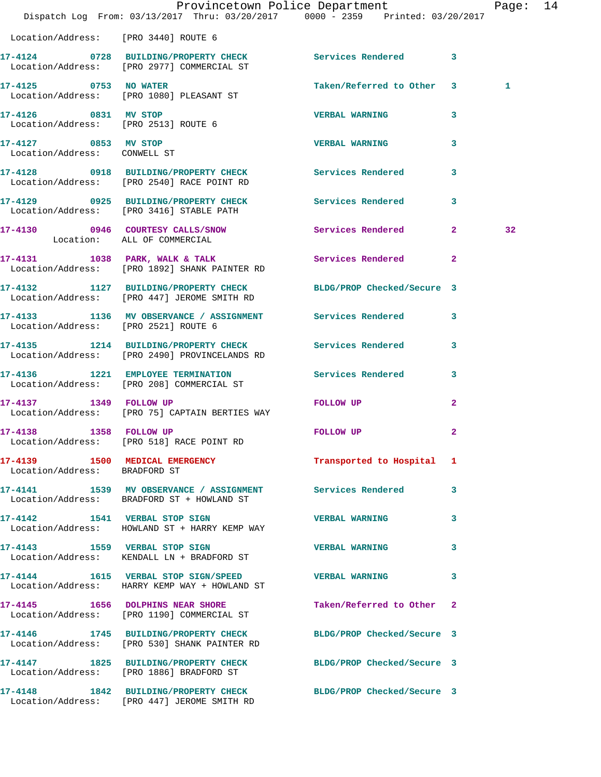|                                                              | Provincetown Police Department<br>Dispatch Log From: 03/13/2017 Thru: 03/20/2017 0000 - 2359 Printed: 03/20/2017 |                           |                         | Page: 14 |  |
|--------------------------------------------------------------|------------------------------------------------------------------------------------------------------------------|---------------------------|-------------------------|----------|--|
| Location/Address: [PRO 3440] ROUTE 6                         |                                                                                                                  |                           |                         |          |  |
|                                                              | 17-4124 0728 BUILDING/PROPERTY CHECK Services Rendered 3<br>Location/Address: [PRO 2977] COMMERCIAL ST           |                           |                         |          |  |
| 17-4125 0753 NO WATER                                        | Location/Address: [PRO 1080] PLEASANT ST                                                                         | Taken/Referred to Other 3 |                         | 1        |  |
| 17-4126 0831 MV STOP<br>Location/Address: [PRO 2513] ROUTE 6 |                                                                                                                  | <b>VERBAL WARNING</b>     | 3                       |          |  |
| 17-4127 0853 MV STOP<br>Location/Address: CONWELL ST         |                                                                                                                  | <b>VERBAL WARNING</b>     | 3                       |          |  |
|                                                              | 17-4128 0918 BUILDING/PROPERTY CHECK Services Rendered<br>Location/Address: [PRO 2540] RACE POINT RD             |                           | $\overline{\mathbf{3}}$ |          |  |
|                                                              | 17-4129 0925 BUILDING/PROPERTY CHECK Services Rendered 3<br>Location/Address: [PRO 3416] STABLE PATH             |                           |                         |          |  |
| Location: ALL OF COMMERCIAL                                  | 17-4130 0946 COURTESY CALLS/SNOW                                                                                 | Services Rendered 2       |                         | 32       |  |
|                                                              | 17-4131 1038 PARK, WALK & TALK<br>Location/Address: [PRO 1892] SHANK PAINTER RD                                  | Services Rendered 2       |                         |          |  |
|                                                              | 17-4132 1127 BUILDING/PROPERTY CHECK BLDG/PROP Checked/Secure 3<br>Location/Address: [PRO 447] JEROME SMITH RD   |                           |                         |          |  |
| Location/Address: [PRO 2521] ROUTE 6                         | 17-4133 1136 MV OBSERVANCE / ASSIGNMENT Services Rendered 3                                                      |                           |                         |          |  |
|                                                              | 17-4135 1214 BUILDING/PROPERTY CHECK Services Rendered 3<br>Location/Address: [PRO 2490] PROVINCELANDS RD        |                           |                         |          |  |
|                                                              | 17-4136 1221 EMPLOYEE TERMINATION Services Rendered 3<br>Location/Address: [PRO 208] COMMERCIAL ST               |                           |                         |          |  |
| 17-4137 1349 FOLLOW UP                                       | Location/Address: [PRO 75] CAPTAIN BERTIES WAY                                                                   | FOLLOW UP                 | $\mathbf{2}$            |          |  |
| 17-4138 1358 FOLLOW UP                                       | Location/Address: [PRO 518] RACE POINT RD                                                                        | <b>FOLLOW UP</b>          | $\mathbf{2}$            |          |  |
| Location/Address: BRADFORD ST                                | 17-4139 1500 MEDICAL EMERGENCY 1 Transported to Hospital 1                                                       |                           |                         |          |  |
|                                                              | 17-4141 1539 MV OBSERVANCE / ASSIGNMENT Services Rendered 3<br>Location/Address: BRADFORD ST + HOWLAND ST        |                           |                         |          |  |
|                                                              | 17-4142 1541 VERBAL STOP SIGN<br>Location/Address: HOWLAND ST + HARRY KEMP WAY                                   | VERBAL WARNING 3          |                         |          |  |
|                                                              | 17-4143 1559 VERBAL STOP SIGN<br>Location/Address: KENDALL LN + BRADFORD ST                                      | <b>VERBAL WARNING</b>     | 3                       |          |  |
|                                                              | 17-4144 1615 VERBAL STOP SIGN/SPEED VERBAL WARNING 3<br>Location/Address: HARRY KEMP WAY + HOWLAND ST            |                           |                         |          |  |
|                                                              | 17-4145 1656 DOLPHINS NEAR SHORE<br>Location/Address: [PRO 1190] COMMERCIAL ST                                   | Taken/Referred to Other 2 |                         |          |  |
|                                                              | 17-4146 1745 BUILDING/PROPERTY CHECK BLDG/PROP Checked/Secure 3<br>Location/Address: [PRO 530] SHANK PAINTER RD  |                           |                         |          |  |
|                                                              | 17-4147 1825 BUILDING/PROPERTY CHECK BLDG/PROP Checked/Secure 3<br>Location/Address: [PRO 1886] BRADFORD ST      |                           |                         |          |  |
|                                                              | 17-4148 1842 BUILDING/PROPERTY CHECK BLDG/PROP Checked/Secure 3<br>Location/Address: [PRO 447] JEROME SMITH RD   |                           |                         |          |  |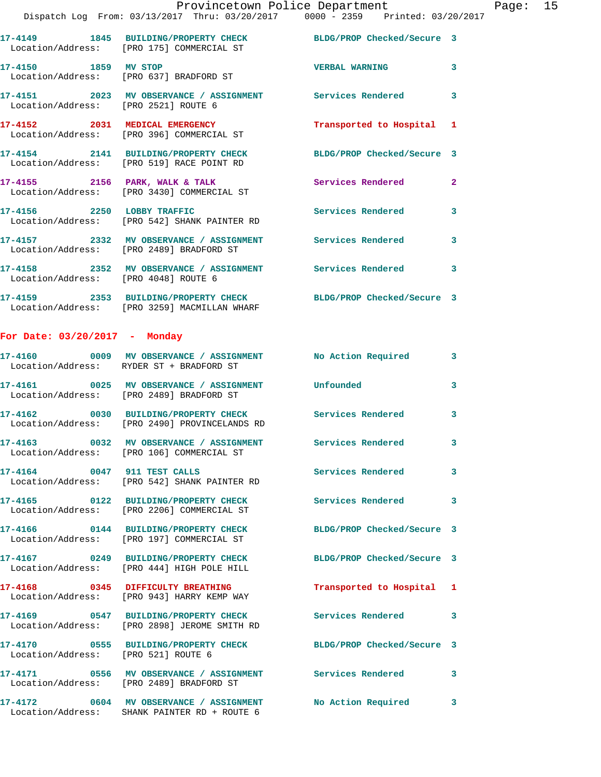**17-4150 1859 MV STOP VERBAL WARNING 3**  Location/Address: [PRO 637] BRADFORD ST **17-4151 2023 MV OBSERVANCE / ASSIGNMENT Services Rendered 3**  Location/Address: [PRO 2521] ROUTE 6 **17-4152 2031 MEDICAL EMERGENCY Transported to Hospital 1**  Location/Address: [PRO 396] COMMERCIAL ST

**17-4154 2141 BUILDING/PROPERTY CHECK BLDG/PROP Checked/Secure 3**  Location/Address: [PRO 519] RACE POINT RD 17-4155 **2156 PARK, WALK & TALK 3** Services Rendered 2 Location/Address: [PRO 3430] COMMERCIAL ST **17-4156 2250 LOBBY TRAFFIC Services Rendered 3**  Location/Address: [PRO 542] SHANK PAINTER RD **17-4157 2332 MV OBSERVANCE / ASSIGNMENT Services Rendered 3**  Location/Address: [PRO 2489] BRADFORD ST **17-4158 2352 MV OBSERVANCE / ASSIGNMENT Services Rendered 3**  Location/Address: [PRO 4048] ROUTE 6

**17-4159 2353 BUILDING/PROPERTY CHECK BLDG/PROP Checked/Secure 3**  Location/Address: [PRO 3259] MACMILLAN WHARF

## **For Date: 03/20/2017 - Monday**

|                                     | 17-4160 6009 MV OBSERVANCE / ASSIGNMENT No Action Required<br>Location/Address: RYDER ST + BRADFORD ST |                            | $\overline{\mathbf{3}}$ |
|-------------------------------------|--------------------------------------------------------------------------------------------------------|----------------------------|-------------------------|
| Location/Address:                   | [PRO 2489] BRADFORD ST                                                                                 |                            | $\overline{3}$          |
|                                     | 17-4162 0030 BUILDING/PROPERTY CHECK<br>Location/Address: [PRO 2490] PROVINCELANDS RD                  | <b>Services Rendered</b>   | $\overline{3}$          |
| Location/Address:                   | 17-4163 0032 MV OBSERVANCE / ASSIGNMENT<br>[PRO 106] COMMERCIAL ST                                     | <b>Services Rendered</b>   | $\mathbf{3}$            |
|                                     | 17-4164 0047 911 TEST CALLS<br>Location/Address: [PRO 542] SHANK PAINTER RD                            | <b>Services Rendered</b>   | $\overline{3}$          |
|                                     | 17-4165 0122 BUILDING/PROPERTY CHECK<br>Location/Address: [PRO 2206] COMMERCIAL ST                     | <b>Services Rendered</b>   | 3                       |
| Location/Address:                   | 17-4166 0144 BUILDING/PROPERTY CHECK<br>[PRO 197] COMMERCIAL ST                                        | BLDG/PROP Checked/Secure 3 |                         |
|                                     | 17-4167 0249 BUILDING/PROPERTY CHECK<br>Location/Address: [PRO 444] HIGH POLE HILL                     | BLDG/PROP Checked/Secure 3 |                         |
|                                     | 17-4168 0345 DIFFICULTY BREATHING<br>Location/Address: [PRO 943] HARRY KEMP WAY                        | Transported to Hospital 1  |                         |
|                                     | Location/Address: [PRO 2898] JEROME SMITH RD                                                           | Services Rendered 3        |                         |
| Location/Address: [PRO 521] ROUTE 6 |                                                                                                        | BLDG/PROP Checked/Secure 3 |                         |
|                                     | 17-4171 0556 MV OBSERVANCE / ASSIGNMENT<br>Location/Address: [PRO 2489] BRADFORD ST                    | <b>Services Rendered</b>   | 3                       |
|                                     | 17-4172 0604 MV OBSERVANCE / ASSIGNMENT<br>Location/Address: SHANK PAINTER RD + ROUTE 6                | No Action Required         | $\mathbf{3}$            |